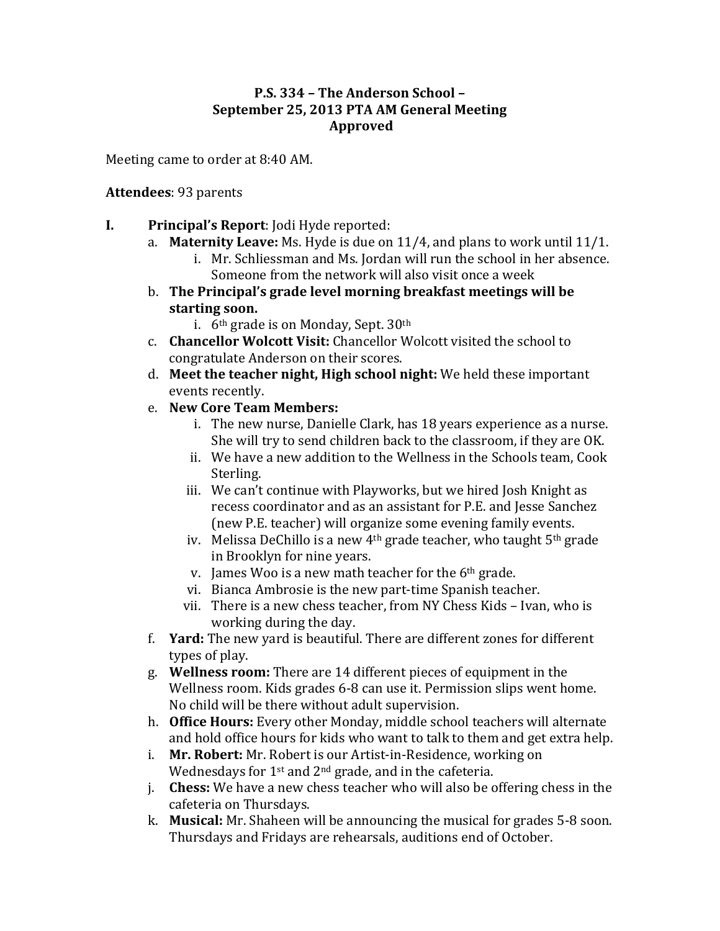#### **P.S. 334 - The Anderson School -September 25, 2013 PTA AM General Meeting Approved**

Meeting came to order at 8:40 AM.

#### **Attendees**: 93 parents

- **I. Principal's Report:** Jodi Hyde reported:
	- a. **Maternity Leave:** Ms. Hyde is due on 11/4, and plans to work until 11/1.
		- i. Mr. Schliessman and Ms. Jordan will run the school in her absence. Someone from the network will also visit once a week
	- b. The Principal's grade level morning breakfast meetings will be starting soon.
		- i.  $6<sup>th</sup>$  grade is on Monday, Sept.  $30<sup>th</sup>$
	- c. **Chancellor Wolcott Visit:** Chancellor Wolcott visited the school to congratulate Anderson on their scores.
	- d. Meet the teacher night, High school night: We held these important events recently.
	- e. **New Core Team Members:**
		- i. The new nurse, Danielle Clark, has 18 years experience as a nurse. She will try to send children back to the classroom, if they are OK.
		- ii. We have a new addition to the Wellness in the Schools team, Cook Sterling.
		- iii. We can't continue with Playworks, but we hired Josh Knight as recess coordinator and as an assistant for P.E. and Jesse Sanchez (new P.E. teacher) will organize some evening family events.
		- iv. Melissa DeChillo is a new  $4<sup>th</sup>$  grade teacher, who taught  $5<sup>th</sup>$  grade in Brooklyn for nine years.
		- v. James Woo is a new math teacher for the  $6<sup>th</sup>$  grade.
		- vi. Bianca Ambrosie is the new part-time Spanish teacher.
		- vii. There is a new chess teacher, from NY Chess Kids Ivan, who is working during the day.
	- f. **Yard:** The new yard is beautiful. There are different zones for different types of play.
	- g. Wellness room: There are 14 different pieces of equipment in the Wellness room. Kids grades 6-8 can use it. Permission slips went home. No child will be there without adult supervision.
	- h. **Office Hours:** Every other Monday, middle school teachers will alternate and hold office hours for kids who want to talk to them and get extra help.
	- i. **Mr. Robert:** Mr. Robert is our Artist-in-Residence, working on Wednesdays for  $1^{st}$  and  $2^{nd}$  grade, and in the cafeteria.
	- j. **Chess:** We have a new chess teacher who will also be offering chess in the cafeteria on Thursdays.
	- k. **Musical:** Mr. Shaheen will be announcing the musical for grades 5-8 soon. Thursdays and Fridays are rehearsals, auditions end of October.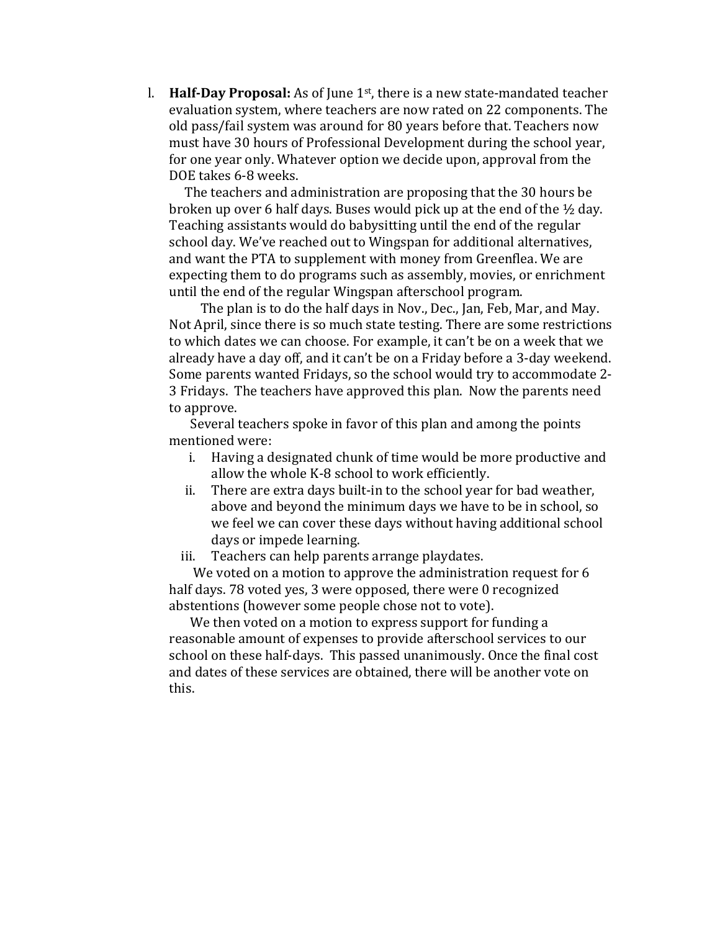l. **Half-Day Proposal:** As of June 1<sup>st</sup>, there is a new state-mandated teacher evaluation system, where teachers are now rated on 22 components. The old pass/fail system was around for 80 years before that. Teachers now must have 30 hours of Professional Development during the school year, for one year only. Whatever option we decide upon, approval from the DOE takes 6-8 weeks.

The teachers and administration are proposing that the 30 hours be. broken up over 6 half days. Buses would pick up at the end of the  $\frac{1}{2}$  day. Teaching assistants would do babysitting until the end of the regular school day. We've reached out to Wingspan for additional alternatives, and want the PTA to supplement with money from Greenflea. We are expecting them to do programs such as assembly, movies, or enrichment until the end of the regular Wingspan afterschool program.

The plan is to do the half days in Nov., Dec., Jan, Feb, Mar, and May. Not April, since there is so much state testing. There are some restrictions to which dates we can choose. For example, it can't be on a week that we already have a day off, and it can't be on a Friday before a 3-day weekend. Some parents wanted Fridays, so the school would try to accommodate 2-3 Fridays. The teachers have approved this plan. Now the parents need to approve.

Several teachers spoke in favor of this plan and among the points mentioned were:

- i. Having a designated chunk of time would be more productive and allow the whole K-8 school to work efficiently.
- ii. There are extra days built-in to the school year for bad weather, above and beyond the minimum days we have to be in school, so we feel we can cover these days without having additional school days or impede learning.
- iii. Teachers can help parents arrange playdates.

We voted on a motion to approve the administration request for 6 half days. 78 voted yes, 3 were opposed, there were 0 recognized abstentions (however some people chose not to vote).

We then voted on a motion to express support for funding a reasonable amount of expenses to provide afterschool services to our school on these half-days. This passed unanimously. Once the final cost and dates of these services are obtained, there will be another vote on this.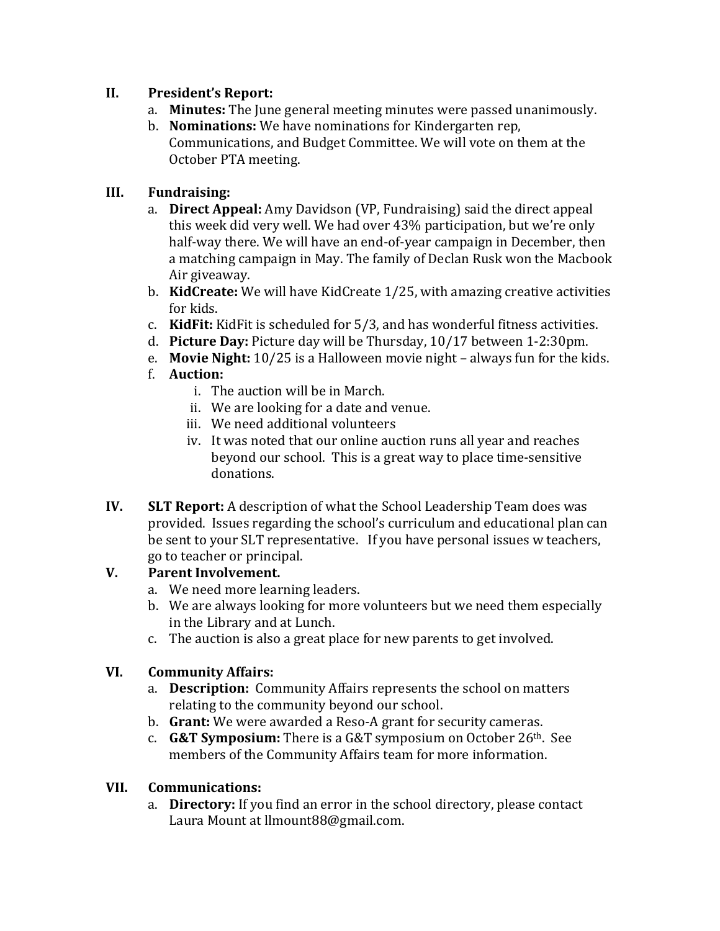#### **II.** President's Report:

- a. **Minutes:** The June general meeting minutes were passed unanimously.
- b. **Nominations:** We have nominations for Kindergarten rep. Communications, and Budget Committee. We will vote on them at the October PTA meeting.

## **III. Fundraising:**

- a. **Direct Appeal:** Amy Davidson (VP, Fundraising) said the direct appeal this week did very well. We had over 43% participation, but we're only half-way there. We will have an end-of-year campaign in December, then a matching campaign in May. The family of Declan Rusk won the Macbook Air giveaway.
- b. **KidCreate:** We will have KidCreate 1/25, with amazing creative activities for kids.
- c. **KidFit:** KidFit is scheduled for 5/3, and has wonderful fitness activities.
- d. **Picture Day:** Picture day will be Thursday, 10/17 between 1-2:30pm.
- e. **Movie Night:** 10/25 is a Halloween movie night always fun for the kids.
- f. **Auction:**
	- i. The auction will be in March.
	- ii. We are looking for a date and venue.
	- iii. We need additional volunteers
	- iv. It was noted that our online auction runs all year and reaches beyond our school. This is a great way to place time-sensitive donations.
- **IV. SLT Report:** A description of what the School Leadership Team does was provided. Issues regarding the school's curriculum and educational plan can be sent to your SLT representative. If you have personal issues w teachers, go to teacher or principal.

## **V.** Parent Involvement.

- a. We need more learning leaders.
- b. We are always looking for more volunteers but we need them especially in the Library and at Lunch.
- c. The auction is also a great place for new parents to get involved.

# **VI. Community Affairs:**

- a. **Description:** Community Affairs represents the school on matters relating to the community beyond our school.
- b. **Grant:** We were awarded a Reso-A grant for security cameras.
- c. **G&T Symposium:** There is a G&T symposium on October  $26<sup>th</sup>$ . See members of the Community Affairs team for more information.

## **VII. Communications:**

a. **Directory:** If you find an error in the school directory, please contact Laura Mount at llmount88@gmail.com.